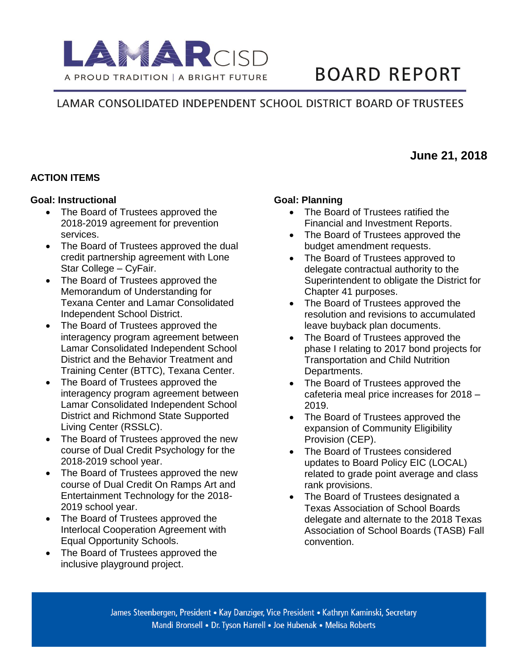

# **BOARD REPORT**

**June 21, 2018**

# LAMAR CONSOLIDATED INDEPENDENT SCHOOL DISTRICT BOARD OF TRUSTEES

#### **ACTION ITEMS**

#### **Goal: Instructional**

- The Board of Trustees approved the 2018-2019 agreement for prevention services.
- The Board of Trustees approved the dual credit partnership agreement with Lone Star College – CyFair.
- The Board of Trustees approved the Memorandum of Understanding for Texana Center and Lamar Consolidated Independent School District.
- The Board of Trustees approved the interagency program agreement between Lamar Consolidated Independent School District and the Behavior Treatment and Training Center (BTTC), Texana Center.
- The Board of Trustees approved the interagency program agreement between Lamar Consolidated Independent School District and Richmond State Supported Living Center (RSSLC).
- The Board of Trustees approved the new course of Dual Credit Psychology for the 2018-2019 school year.
- The Board of Trustees approved the new course of Dual Credit On Ramps Art and Entertainment Technology for the 2018- 2019 school year.
- The Board of Trustees approved the Interlocal Cooperation Agreement with Equal Opportunity Schools.
- The Board of Trustees approved the inclusive playground project.

#### **Goal: Planning**

- The Board of Trustees ratified the Financial and Investment Reports.
- The Board of Trustees approved the budget amendment requests.
- The Board of Trustees approved to delegate contractual authority to the Superintendent to obligate the District for Chapter 41 purposes.
- The Board of Trustees approved the resolution and revisions to accumulated leave buyback plan documents.
- The Board of Trustees approved the phase I relating to 2017 bond projects for Transportation and Child Nutrition Departments.
- The Board of Trustees approved the cafeteria meal price increases for 2018 – 2019.
- The Board of Trustees approved the expansion of Community Eligibility Provision (CEP).
- The Board of Trustees considered updates to Board Policy EIC (LOCAL) related to grade point average and class rank provisions.
- The Board of Trustees designated a Texas Association of School Boards delegate and alternate to the 2018 Texas Association of School Boards (TASB) Fall convention.

James Steenbergen, President • Kay Danziger, Vice President • Kathryn Kaminski, Secretary Mandi Bronsell • Dr. Tyson Harrell • Joe Hubenak • Melisa Roberts